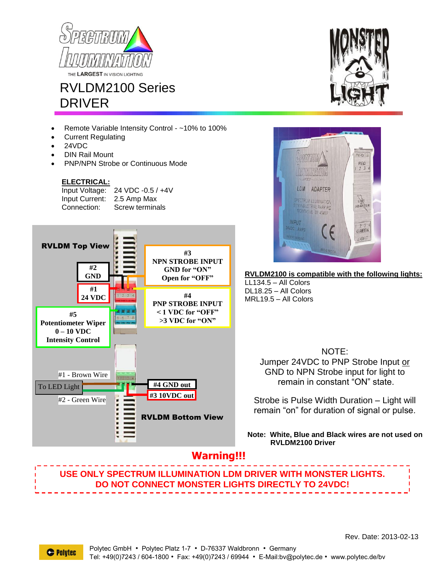



- Remote Variable Intensity Control ~10% to 100%
- Current Regulating
- 24VDC
- DIN Rail Mount
- PNP/NPN Strobe or Continuous Mode

## **ELECTRICAL:**

Input Voltage: 24 VDC -0.5 / +4V Input Current: 2.5 Amp Max Connection: Screw terminals







**RVLDM2100 is compatible with the following lights:** LL134.5 – All Colors

DL18.25 – All Colors MRL19.5 – All Colors

> NOTE: Jumper 24VDC to PNP Strobe Input or GND to NPN Strobe input for light to remain in constant "ON" state.

Strobe is Pulse Width Duration – Light will remain "on" for duration of signal or pulse.

**Note: White, Blue and Black wires are not used on RVLDM2100 Driver**

## **Warning!!!**

## **USE ONLY SPECTRUM ILLUMINATION LDM DRIVER WITH MONSTER LIGHTS. DO NOT CONNECT MONSTER LIGHTS DIRECTLY TO 24VDC!**

Rev. Date: 2013-02-13